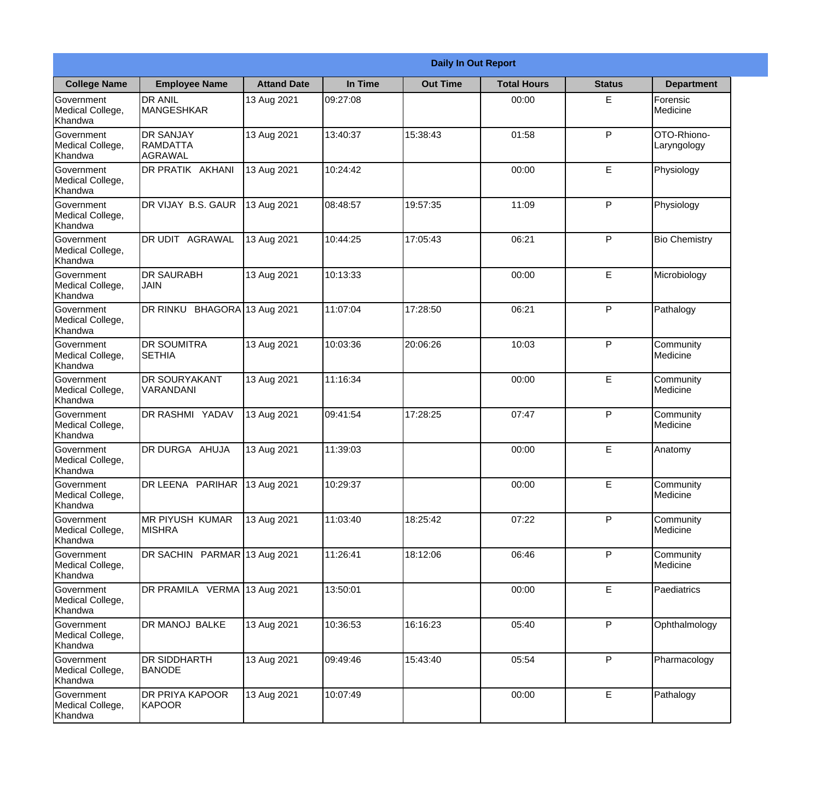|                                                  | <b>Daily In Out Report</b>                            |                    |          |                 |                    |               |                            |
|--------------------------------------------------|-------------------------------------------------------|--------------------|----------|-----------------|--------------------|---------------|----------------------------|
| <b>College Name</b>                              | <b>Employee Name</b>                                  | <b>Attand Date</b> | In Time  | <b>Out Time</b> | <b>Total Hours</b> | <b>Status</b> | <b>Department</b>          |
| Government<br>Medical College,<br>Khandwa        | <b>DR ANIL</b><br><b>MANGESHKAR</b>                   | 13 Aug 2021        | 09:27:08 |                 | 00:00              | E.            | Forensic<br>Medicine       |
| Government<br>Medical College,<br>Khandwa        | <b>DR SANJAY</b><br><b>RAMDATTA</b><br><b>AGRAWAL</b> | 13 Aug 2021        | 13:40:37 | 15:38:43        | 01:58              | P             | OTO-Rhiono-<br>Laryngology |
| <b>Government</b><br>Medical College,<br>Khandwa | DR PRATIK AKHANI                                      | 13 Aug 2021        | 10:24:42 |                 | 00:00              | E             | Physiology                 |
| Government<br>Medical College,<br>Khandwa        | DR VIJAY B.S. GAUR                                    | 13 Aug 2021        | 08:48:57 | 19:57:35        | 11:09              | P             | Physiology                 |
| Government<br>Medical College,<br>Khandwa        | <b>DR UDIT AGRAWAL</b>                                | 13 Aug 2021        | 10:44:25 | 17:05:43        | 06:21              | P             | <b>Bio Chemistry</b>       |
| Government<br>Medical College,<br>Khandwa        | <b>DR SAURABH</b><br><b>JAIN</b>                      | 13 Aug 2021        | 10:13:33 |                 | 00:00              | E             | Microbiology               |
| Government<br>Medical College,<br>Khandwa        | DR RINKU BHAGORA 13 Aug 2021                          |                    | 11:07:04 | 17:28:50        | 06:21              | P             | Pathalogy                  |
| Government<br>Medical College,<br>Khandwa        | <b>DR SOUMITRA</b><br><b>SETHIA</b>                   | 13 Aug 2021        | 10:03:36 | 20:06:26        | 10:03              | P             | Community<br>Medicine      |
| Government<br>Medical College,<br>Khandwa        | <b>DR SOURYAKANT</b><br>VARANDANI                     | 13 Aug 2021        | 11:16:34 |                 | 00:00              | E             | Community<br>Medicine      |
| Government<br>Medical College,<br>Khandwa        | <b>DR RASHMI YADAV</b>                                | 13 Aug 2021        | 09:41:54 | 17:28:25        | 07:47              | P             | Community<br>Medicine      |
| Government<br>Medical College,<br>Khandwa        | DR DURGA AHUJA                                        | 13 Aug 2021        | 11:39:03 |                 | 00:00              | E             | Anatomy                    |
| Government<br>Medical College,<br>Khandwa        | DR LEENA PARIHAR 13 Aug 2021                          |                    | 10:29:37 |                 | 00:00              | E             | Community<br>Medicine      |
| Government<br>Medical College,<br>Khandwa        | <b>MR PIYUSH KUMAR</b><br><b>MISHRA</b>               | 13 Aug 2021        | 11:03:40 | 18:25:42        | 07:22              | P             | Community<br>Medicine      |
| Government<br>Medical College,<br>Khandwa        | DR SACHIN PARMAR 13 Aug 2021                          |                    | 11:26:41 | 18:12:06        | 06:46              | P             | Community<br>Medicine      |
| <b>Government</b><br>Medical College,<br>Khandwa | DR PRAMILA VERMA 13 Aug 2021                          |                    | 13:50:01 |                 | 00:00              | E             | Paediatrics                |
| Government<br>Medical College,<br>Khandwa        | DR MANOJ BALKE                                        | 13 Aug 2021        | 10:36:53 | 16:16:23        | 05:40              | P             | Ophthalmology              |
| Government<br>Medical College,<br>Khandwa        | <b>DR SIDDHARTH</b><br><b>BANODE</b>                  | 13 Aug 2021        | 09:49:46 | 15:43:40        | 05:54              | P             | Pharmacology               |
| Government<br>Medical College,<br>Khandwa        | <b>DR PRIYA KAPOOR</b><br>KAPOOR                      | 13 Aug 2021        | 10:07:49 |                 | 00:00              | E             | Pathalogy                  |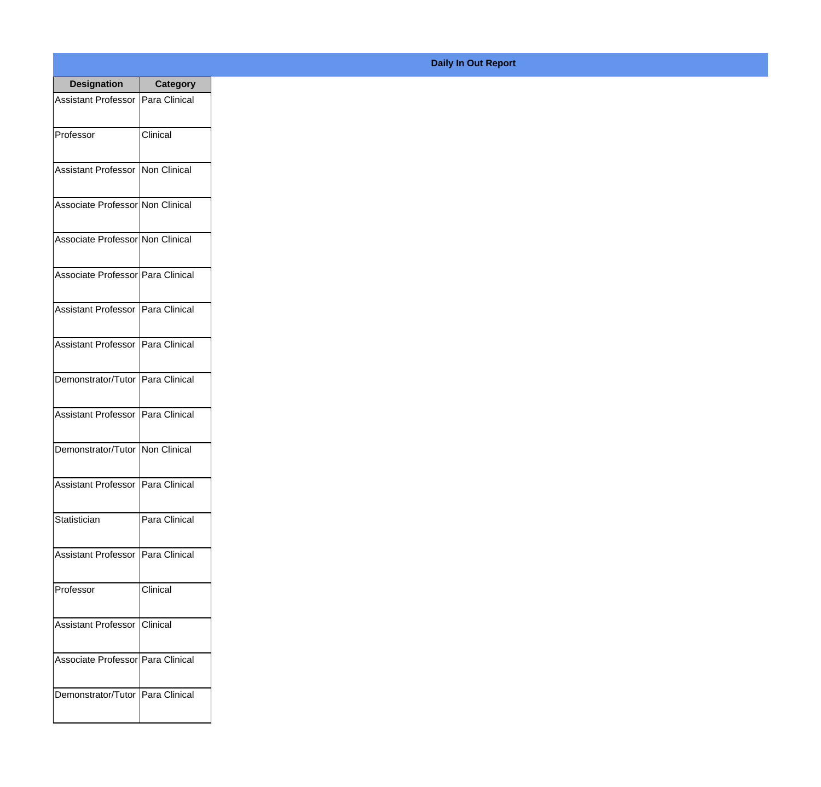| <b>Designation</b>                  | <b>Category</b> |
|-------------------------------------|-----------------|
| Assistant Professor   Para Clinical |                 |
| Professor                           | Clinical        |
| Assistant Professor   Non Clinical  |                 |
| Associate Professor Non Clinical    |                 |
| Associate Professor Non Clinical    |                 |
| Associate Professor Para Clinical   |                 |
| Assistant Professor   Para Clinical |                 |
| Assistant Professor   Para Clinical |                 |
| Demonstrator/Tutor   Para Clinical  |                 |
| Assistant Professor   Para Clinical |                 |
| Demonstrator/Tutor   Non Clinical   |                 |
| Assistant Professor   Para Clinical |                 |
| Statistician                        | Para Clinical   |
| Assistant Professor   Para Clinical |                 |
| Professor                           | Clinical        |
| <b>Assistant Professor</b>          | Clinical        |
| Associate Professor   Para Clinical |                 |
| Demonstrator/Tutor   Para Clinical  |                 |

## **Daily In Out Report**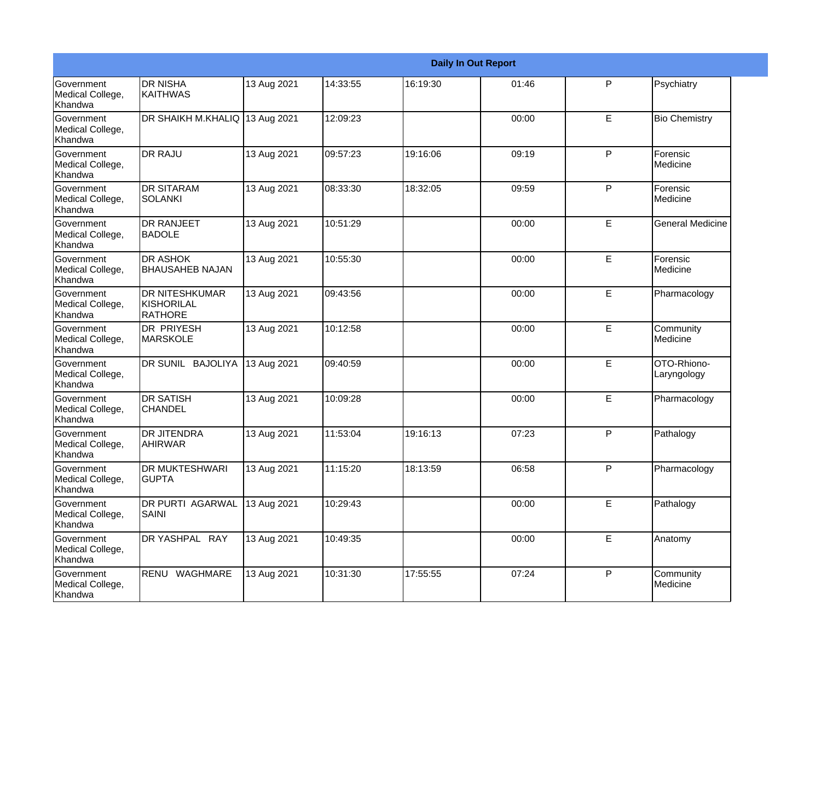|                                                  |                                                |             |          |          | <b>Daily In Out Report</b> |   |                            |
|--------------------------------------------------|------------------------------------------------|-------------|----------|----------|----------------------------|---|----------------------------|
| <b>Government</b><br>Medical College,<br>Khandwa | <b>DR NISHA</b><br><b>KAITHWAS</b>             | 13 Aug 2021 | 14:33:55 | 16:19:30 | 01:46                      | P | Psychiatry                 |
| Government<br>Medical College,<br>Khandwa        | DR SHAIKH M.KHALIQ                             | 13 Aug 2021 | 12:09:23 |          | 00:00                      | E | <b>Bio Chemistry</b>       |
| Government<br>Medical College,<br>Khandwa        | <b>DR RAJU</b>                                 | 13 Aug 2021 | 09:57:23 | 19:16:06 | 09:19                      | P | Forensic<br>Medicine       |
| Government<br>Medical College,<br>Khandwa        | <b>DR SITARAM</b><br><b>SOLANKI</b>            | 13 Aug 2021 | 08:33:30 | 18:32:05 | 09:59                      | P | Forensic<br>Medicine       |
| <b>Government</b><br>Medical College,<br>Khandwa | <b>DR RANJEET</b><br><b>BADOLE</b>             | 13 Aug 2021 | 10:51:29 |          | 00:00                      | E | <b>General Medicine</b>    |
| Government<br>Medical College,<br>Khandwa        | <b>DR ASHOK</b><br><b>BHAUSAHEB NAJAN</b>      | 13 Aug 2021 | 10:55:30 |          | 00:00                      | E | Forensic<br>Medicine       |
| Government<br>Medical College,<br>Khandwa        | <b>DR NITESHKUMAR</b><br>KISHORILAL<br>RATHORE | 13 Aug 2021 | 09:43:56 |          | 00:00                      | E | Pharmacology               |
| Government<br>Medical College,<br>Khandwa        | <b>DR PRIYESH</b><br>MARSKOLE                  | 13 Aug 2021 | 10:12:58 |          | 00:00                      | E | Community<br>Medicine      |
| Government<br>Medical College,<br>Khandwa        | DR SUNIL BAJOLIYA                              | 13 Aug 2021 | 09:40:59 |          | 00:00                      | E | OTO-Rhiono-<br>Laryngology |
| <b>Government</b><br>Medical College,<br>Khandwa | <b>DR SATISH</b><br><b>CHANDEL</b>             | 13 Aug 2021 | 10:09:28 |          | 00:00                      | E | Pharmacology               |
| Government<br>Medical College,<br>Khandwa        | <b>DR JITENDRA</b><br><b>AHIRWAR</b>           | 13 Aug 2021 | 11:53:04 | 19:16:13 | 07:23                      | P | Pathalogy                  |
| Government<br>Medical College,<br>Khandwa        | <b>DR MUKTESHWARI</b><br><b>GUPTA</b>          | 13 Aug 2021 | 11:15:20 | 18:13:59 | 06:58                      | P | Pharmacology               |
| Government<br>Medical College,<br>Khandwa        | DR PURTI AGARWAL<br><b>SAINI</b>               | 13 Aug 2021 | 10:29:43 |          | 00:00                      | E | Pathalogy                  |
| Government<br>Medical College,<br>Khandwa        | DR YASHPAL RAY                                 | 13 Aug 2021 | 10:49:35 |          | 00:00                      | E | Anatomy                    |
| Government<br>Medical College,<br>Khandwa        | RENU WAGHMARE                                  | 13 Aug 2021 | 10:31:30 | 17:55:55 | 07:24                      | P | Community<br>Medicine      |